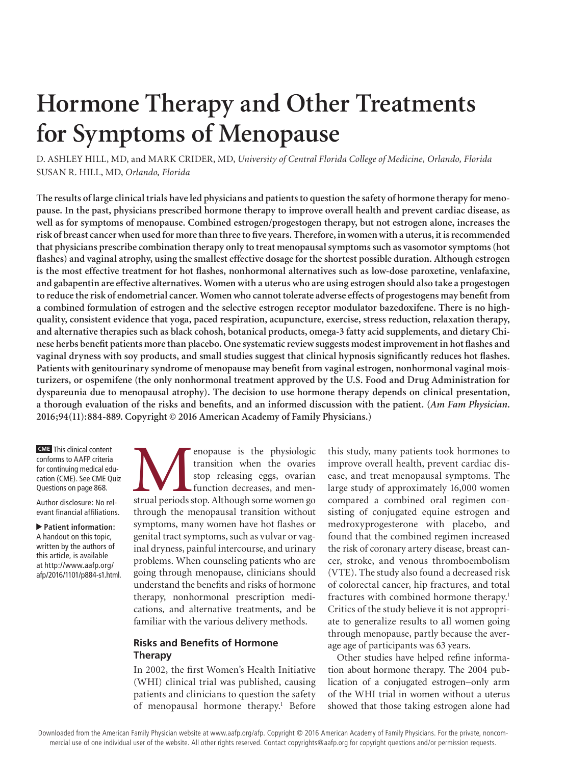# **Hormone Therapy and Other Treatments for Symptoms of Menopause**

D. ASHLEY HILL, MD, and MARK CRIDER, MD, *University of Central Florida College of Medicine, Orlando, Florida* SUSAN R. HILL, MD, *Orlando, Florida*

**The results of large clinical trials have led physicians and patients to question the safety of hormone therapy for menopause. In the past, physicians prescribed hormone therapy to improve overall health and prevent cardiac disease, as well as for symptoms of menopause. Combined estrogen/progestogen therapy, but not estrogen alone, increases the risk of breast cancer when used for more than three to five years. Therefore, in women with a uterus, it is recommended that physicians prescribe combination therapy only to treat menopausal symptoms such as vasomotor symptoms (hot flashes) and vaginal atrophy, using the smallest effective dosage for the shortest possible duration. Although estrogen is the most effective treatment for hot flashes, nonhormonal alternatives such as low-dose paroxetine, venlafaxine, and gabapentin are effective alternatives. Women with a uterus who are using estrogen should also take a progestogen to reduce the risk of endometrial cancer. Women who cannot tolerate adverse effects of progestogens may benefit from a combined formulation of estrogen and the selective estrogen receptor modulator bazedoxifene. There is no highquality, consistent evidence that yoga, paced respiration, acupuncture, exercise, stress reduction, relaxation therapy, and alternative therapies such as black cohosh, botanical products, omega-3 fatty acid supplements, and dietary Chinese herbs benefit patients more than placebo. One systematic review suggests modest improvement in hot flashes and vaginal dryness with soy products, and small studies suggest that clinical hypnosis significantly reduces hot flashes. Patients with genitourinary syndrome of menopause may benefit from vaginal estrogen, nonhormonal vaginal moisturizers, or ospemifene (the only nonhormonal treatment approved by the U.S. Food and Drug Administration for dyspareunia due to menopausal atrophy). The decision to use hormone therapy depends on clinical presentation, a thorough evaluation of the risks and benefits, and an informed discussion with the patient. (***Am Fam Physician***. 2016;94(11):884-889. Copyright © 2016 American Academy of Family Physicians.)**

**CME** This clinical content conforms to AAFP criteria for continuing medical education (CME). See CME Quiz Questions on page 868.

Author disclosure: No relevant financial affiliations.

▲ **Patient information:** A handout on this topic, written by the authors of this article, is available at http://www.aafp.org/ afp/2016/1101/p884-s1.html. enopause is the physiologic transition when the ovaries stop releasing eggs, ovarian function decreases, and menstrual periods stop. Although some women go transition when the ovaries stop releasing eggs, ovarian function decreases, and menthrough the menopausal transition without symptoms, many women have hot flashes or genital tract symptoms, such as vulvar or vaginal dryness, painful intercourse, and urinary problems. When counseling patients who are going through menopause, clinicians should understand the benefits and risks of hormone therapy, nonhormonal prescription medications, and alternative treatments, and be familiar with the various delivery methods.

# **Risks and Benefits of Hormone Therapy**

In 2002, the first Women's Health Initiative (WHI) clinical trial was published, causing patients and clinicians to question the safety of menopausal hormone therapy.<sup>1</sup> Before this study, many patients took hormones to improve overall health, prevent cardiac disease, and treat menopausal symptoms. The large study of approximately 16,000 women compared a combined oral regimen consisting of conjugated equine estrogen and medroxyprogesterone with placebo, and found that the combined regimen increased the risk of coronary artery disease, breast cancer, stroke, and venous thromboembolism (VTE). The study also found a decreased risk of colorectal cancer, hip fractures, and total fractures with combined hormone therapy.<sup>1</sup> Critics of the study believe it is not appropriate to generalize results to all women going through menopause, partly because the average age of participants was 63 years.

Other studies have helped refine information about hormone therapy. The 2004 publication of a conjugated estrogen–only arm of the WHI trial in women without a uterus showed that those taking estrogen alone had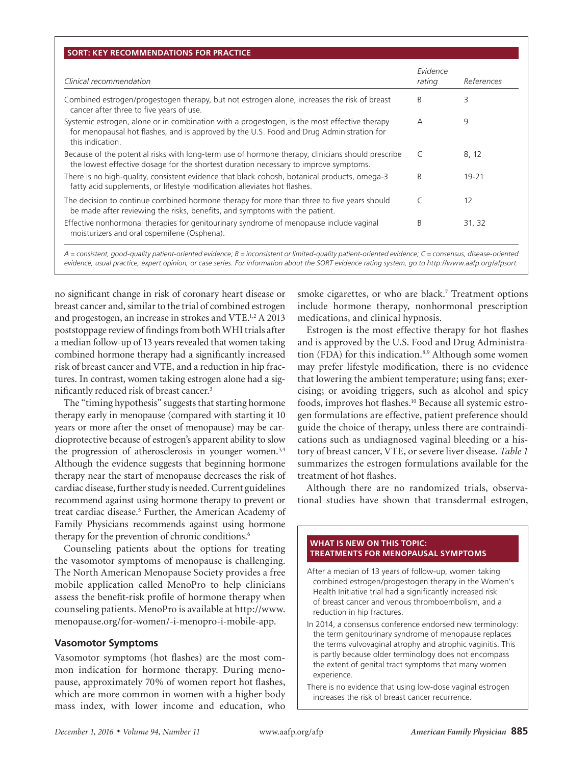| Clinical recommendation                                                                                                                                                                                      | Evidence<br>rating | References |
|--------------------------------------------------------------------------------------------------------------------------------------------------------------------------------------------------------------|--------------------|------------|
| Combined estrogen/progestogen therapy, but not estrogen alone, increases the risk of breast<br>cancer after three to five years of use.                                                                      | B                  | 3          |
| Systemic estrogen, alone or in combination with a progestogen, is the most effective therapy<br>for menopausal hot flashes, and is approved by the U.S. Food and Drug Administration for<br>this indication. | A                  | 9          |
| Because of the potential risks with long-term use of hormone therapy, clinicians should prescribe<br>the lowest effective dosage for the shortest duration necessary to improve symptoms.                    | $\subset$          | 8, 12      |
| There is no high-quality, consistent evidence that black cohosh, botanical products, omega-3<br>fatty acid supplements, or lifestyle modification alleviates hot flashes.                                    | B                  | $19 - 21$  |
| The decision to continue combined hormone therapy for more than three to five years should<br>be made after reviewing the risks, benefits, and symptoms with the patient.                                    | $\subset$          | 12         |
| Effective nonhormonal therapies for genitourinary syndrome of menopause include vaginal<br>moisturizers and oral ospemifene (Osphena).                                                                       | B                  | 31, 32     |

*A = consistent, good-quality patient-oriented evidence; B = inconsistent or limited-quality patient-oriented evidence; C = consensus, disease-oriented evidence, usual practice, expert opinion, or case series. For information about the SORT evidence rating system, go to http://www.aafp.org/afpsort.*

no significant change in risk of coronary heart disease or breast cancer and, similar to the trial of combined estrogen and progestogen, an increase in strokes and VTE.1,2 A 2013 poststoppage review of findings from both WHI trials after a median follow-up of 13 years revealed that women taking combined hormone therapy had a significantly increased risk of breast cancer and VTE, and a reduction in hip fractures. In contrast, women taking estrogen alone had a significantly reduced risk of breast cancer.3

The "timing hypothesis" suggests that starting hormone therapy early in menopause (compared with starting it 10 years or more after the onset of menopause) may be cardioprotective because of estrogen's apparent ability to slow the progression of atherosclerosis in younger women.<sup>3,4</sup> Although the evidence suggests that beginning hormone therapy near the start of menopause decreases the risk of cardiac disease, further study is needed. Current guidelines recommend against using hormone therapy to prevent or treat cardiac disease.<sup>5</sup> Further, the American Academy of Family Physicians recommends against using hormone therapy for the prevention of chronic conditions.<sup>6</sup>

Counseling patients about the options for treating the vasomotor symptoms of menopause is challenging. The North American Menopause Society provides a free mobile application called MenoPro to help clinicians assess the benefit-risk profile of hormone therapy when counseling patients. MenoPro is available at http://www. menopause.org/for-women/-i-menopro-i-mobile-app.

# **Vasomotor Symptoms**

Vasomotor symptoms (hot flashes) are the most common indication for hormone therapy. During menopause, approximately 70% of women report hot flashes, which are more common in women with a higher body mass index, with lower income and education, who

smoke cigarettes, or who are black.<sup>7</sup> Treatment options include hormone therapy, nonhormonal prescription medications, and clinical hypnosis.

Estrogen is the most effective therapy for hot flashes and is approved by the U.S. Food and Drug Administration (FDA) for this indication. $8,9$  Although some women may prefer lifestyle modification, there is no evidence that lowering the ambient temperature; using fans; exercising; or avoiding triggers, such as alcohol and spicy foods, improves hot flashes.<sup>10</sup> Because all systemic estrogen formulations are effective, patient preference should guide the choice of therapy, unless there are contraindications such as undiagnosed vaginal bleeding or a history of breast cancer, VTE, or severe liver disease. *Table 1* summarizes the estrogen formulations available for the treatment of hot flashes.

Although there are no randomized trials, observational studies have shown that transdermal estrogen,

#### **WHAT IS NEW ON THIS TOPIC: TREATMENTS FOR MENOPAUSAL SYMPTOMS**

- After a median of 13 years of follow-up, women taking combined estrogen/progestogen therapy in the Women's Health Initiative trial had a significantly increased risk of breast cancer and venous thromboembolism, and a reduction in hip fractures.
- In 2014, a consensus conference endorsed new terminology: the term genitourinary syndrome of menopause replaces the terms vulvovaginal atrophy and atrophic vaginitis. This is partly because older terminology does not encompass the extent of genital tract symptoms that many women experience.
- There is no evidence that using low-dose vaginal estrogen increases the risk of breast cancer recurrence.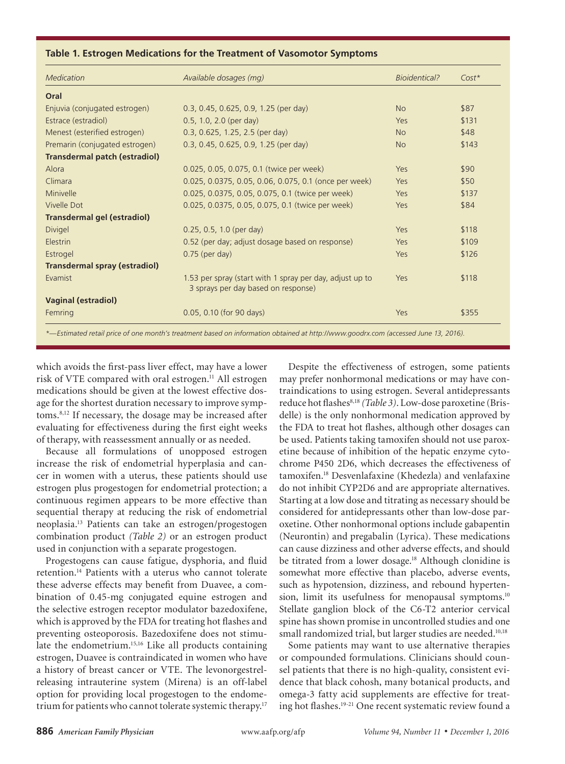#### **Table 1. Estrogen Medications for the Treatment of Vasomotor Symptoms**

**Menopause**

| <b>Medication</b>                    | Available dosages (mg)                                                                          | <b>Bioidentical?</b> | $Cost*$ |
|--------------------------------------|-------------------------------------------------------------------------------------------------|----------------------|---------|
| Oral                                 |                                                                                                 |                      |         |
| Enjuvia (conjugated estrogen)        | 0.3, 0.45, 0.625, 0.9, 1.25 (per day)                                                           | No                   | \$87    |
| Estrace (estradiol)                  | 0.5, 1.0, 2.0 (per day)                                                                         | Yes                  | \$131   |
| Menest (esterified estrogen)         | 0.3, 0.625, 1.25, 2.5 (per day)                                                                 | <b>No</b>            | \$48    |
| Premarin (conjugated estrogen)       | 0.3, 0.45, 0.625, 0.9, 1.25 (per day)                                                           | <b>No</b>            | \$143   |
| <b>Transdermal patch (estradiol)</b> |                                                                                                 |                      |         |
| Alora                                | 0.025, 0.05, 0.075, 0.1 (twice per week)                                                        | Yes                  | \$90    |
| Climara                              | 0.025, 0.0375, 0.05, 0.06, 0.075, 0.1 (once per week)                                           | Yes                  | \$50    |
| Minivelle                            | 0.025, 0.0375, 0.05, 0.075, 0.1 (twice per week)                                                | Yes                  | \$137   |
| Vivelle Dot                          | 0.025, 0.0375, 0.05, 0.075, 0.1 (twice per week)                                                | Yes                  | \$84    |
| <b>Transdermal gel (estradiol)</b>   |                                                                                                 |                      |         |
| Divigel                              | 0.25, 0.5, 1.0 (per day)                                                                        | Yes                  | \$118   |
| Elestrin                             | 0.52 (per day; adjust dosage based on response)                                                 | Yes                  | \$109   |
| Estrogel                             | $0.75$ (per day)                                                                                | Yes                  | \$126   |
| <b>Transdermal spray (estradiol)</b> |                                                                                                 |                      |         |
| Evamist                              | 1.53 per spray (start with 1 spray per day, adjust up to<br>3 sprays per day based on response) | Yes                  | \$118   |
| <b>Vaginal (estradiol)</b>           |                                                                                                 |                      |         |
| Femring                              | 0.05, 0.10 (for 90 days)                                                                        | Yes                  | \$355   |

which avoids the first-pass liver effect, may have a lower risk of VTE compared with oral estrogen.<sup>11</sup> All estrogen medications should be given at the lowest effective dosage for the shortest duration necessary to improve symptoms.8,12 If necessary, the dosage may be increased after evaluating for effectiveness during the first eight weeks of therapy, with reassessment annually or as needed.

Because all formulations of unopposed estrogen increase the risk of endometrial hyperplasia and cancer in women with a uterus, these patients should use estrogen plus progestogen for endometrial protection; a continuous regimen appears to be more effective than sequential therapy at reducing the risk of endometrial neoplasia.13 Patients can take an estrogen/progestogen combination product *(Table 2)* or an estrogen product used in conjunction with a separate progestogen.

Progestogens can cause fatigue, dysphoria, and fluid retention.14 Patients with a uterus who cannot tolerate these adverse effects may benefit from Duavee, a combination of 0.45-mg conjugated equine estrogen and the selective estrogen receptor modulator bazedoxifene, which is approved by the FDA for treating hot flashes and preventing osteoporosis. Bazedoxifene does not stimulate the endometrium.15,16 Like all products containing estrogen, Duavee is contraindicated in women who have a history of breast cancer or VTE. The levonorgestrelreleasing intrauterine system (Mirena) is an off-label option for providing local progestogen to the endometrium for patients who cannot tolerate systemic therapy.<sup>17</sup>

Despite the effectiveness of estrogen, some patients may prefer nonhormonal medications or may have contraindications to using estrogen. Several antidepressants reduce hot flashes<sup>8,18</sup> (Table 3). Low-dose paroxetine (Brisdelle) is the only nonhormonal medication approved by the FDA to treat hot flashes, although other dosages can be used. Patients taking tamoxifen should not use paroxetine because of inhibition of the hepatic enzyme cytochrome P450 2D6, which decreases the effectiveness of tamoxifen.18 Desvenlafaxine (Khedezla) and venlafaxine do not inhibit CYP2D6 and are appropriate alternatives. Starting at a low dose and titrating as necessary should be considered for antidepressants other than low-dose paroxetine. Other nonhormonal options include gabapentin (Neurontin) and pregabalin (Lyrica). These medications can cause dizziness and other adverse effects, and should be titrated from a lower dosage.<sup>18</sup> Although clonidine is somewhat more effective than placebo, adverse events, such as hypotension, dizziness, and rebound hypertension, limit its usefulness for menopausal symptoms.<sup>10</sup> Stellate ganglion block of the C6-T2 anterior cervical spine has shown promise in uncontrolled studies and one small randomized trial, but larger studies are needed.<sup>10,18</sup>

Some patients may want to use alternative therapies or compounded formulations. Clinicians should counsel patients that there is no high-quality, consistent evidence that black cohosh, many botanical products, and omega-3 fatty acid supplements are effective for treating hot flashes.<sup>19-21</sup> One recent systematic review found a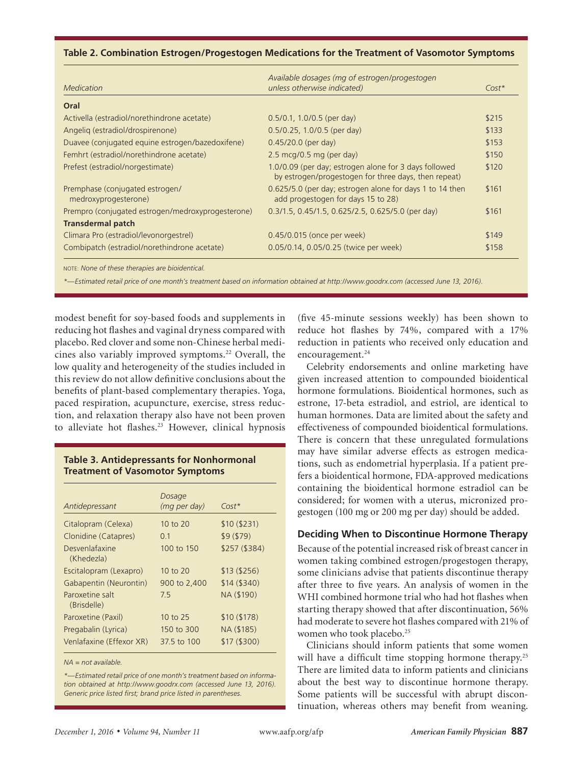#### **Menopause Table 2. Combination Estrogen/Progestogen Medications for the Treatment of Vasomotor Symptoms**

| <b>Medication</b>                                       | Available dosages (mg of estrogen/progestogen<br>unless otherwise indicated)                                  | $Cost*$ |
|---------------------------------------------------------|---------------------------------------------------------------------------------------------------------------|---------|
| Oral                                                    |                                                                                                               |         |
| Activella (estradiol/norethindrone acetate)             | $0.5/0.1$ , 1.0/0.5 (per day)                                                                                 | \$215   |
| Angelig (estradiol/drospirenone)                        | 0.5/0.25, 1.0/0.5 (per day)                                                                                   | \$133   |
| Duavee (conjugated equine estrogen/bazedoxifene)        | 0.45/20.0 (per day)                                                                                           | \$153   |
| Femhrt (estradiol/norethindrone acetate)                | 2.5 mcg/0.5 mg (per day)                                                                                      | \$150   |
| Prefest (estradiol/norgestimate)                        | 1.0/0.09 (per day; estrogen alone for 3 days followed<br>by estrogen/progestogen for three days, then repeat) | \$120   |
| Premphase (conjugated estrogen/<br>medroxyprogesterone) | 0.625/5.0 (per day; estrogen alone for days 1 to 14 then<br>add progestogen for days 15 to 28)                | \$161   |
| Prempro (conjugated estrogen/medroxyprogesterone)       | 0.3/1.5, 0.45/1.5, 0.625/2.5, 0.625/5.0 (per day)                                                             | \$161   |
| Transdermal patch                                       |                                                                                                               |         |
| Climara Pro (estradiol/levonorgestrel)                  | 0.45/0.015 (once per week)                                                                                    | \$149   |
| Combipatch (estradiol/norethindrone acetate)            | 0.05/0.14, 0.05/0.25 (twice per week)                                                                         | \$158   |

*\*—Estimated retail price of one month's treatment based on information obtained at http://www.goodrx.com (accessed June 13, 2016).* 

modest benefit for soy-based foods and supplements in reducing hot flashes and vaginal dryness compared with placebo. Red clover and some non-Chinese herbal medicines also variably improved symptoms.<sup>22</sup> Overall, the low quality and heterogeneity of the studies included in this review do not allow definitive conclusions about the benefits of plant-based complementary therapies. Yoga, paced respiration, acupuncture, exercise, stress reduction, and relaxation therapy also have not been proven to alleviate hot flashes.<sup>23</sup> However, clinical hypnosis

# **Table 3. Antidepressants for Nonhormonal Treatment of Vasomotor Symptoms**

| Antidepressant                 | Dosage<br>(mg per day) | $Cost*$       |
|--------------------------------|------------------------|---------------|
| Citalopram (Celexa)            | $10$ to $20$           | \$10(\$231)   |
| Clonidine (Catapres)           | 0.1                    | \$9(\$79)     |
| Desvenlafaxine<br>(Khedezla)   | 100 to 150             | \$257 (\$384) |
| Escitalopram (Lexapro)         | 10 to 20               | \$13(\$256)   |
| Gabapentin (Neurontin)         | 900 to 2,400           | \$14(\$340)   |
| Paroxetine salt<br>(Brisdelle) | 75                     | NA (\$190)    |
| Paroxetine (Paxil)             | 10 to 25               | \$10(\$178)   |
| Pregabalin (Lyrica)            | 150 to 300             | NA (\$185)    |
| Venlafaxine (Effexor XR)       | 37.5 to 100            | \$17(\$300)   |

*NA = not available.*

*\*—Estimated retail price of one month's treatment based on information obtained at http://www.goodrx.com (accessed June 13, 2016). Generic price listed first; brand price listed in parentheses.*

(five 45-minute sessions weekly) has been shown to reduce hot flashes by 74%, compared with a 17% reduction in patients who received only education and encouragement.<sup>24</sup>

Celebrity endorsements and online marketing have given increased attention to compounded bioidentical hormone formulations. Bioidentical hormones, such as estrone, 17-beta estradiol, and estriol, are identical to human hormones. Data are limited about the safety and effectiveness of compounded bioidentical formulations. There is concern that these unregulated formulations may have similar adverse effects as estrogen medications, such as endometrial hyperplasia. If a patient prefers a bioidentical hormone, FDA-approved medications containing the bioidentical hormone estradiol can be considered; for women with a uterus, micronized progestogen (100 mg or 200 mg per day) should be added.

## **Deciding When to Discontinue Hormone Therapy**

Because of the potential increased risk of breast cancer in women taking combined estrogen/progestogen therapy, some clinicians advise that patients discontinue therapy after three to five years. An analysis of women in the WHI combined hormone trial who had hot flashes when starting therapy showed that after discontinuation, 56% had moderate to severe hot flashes compared with 21% of women who took placebo.<sup>25</sup>

Clinicians should inform patients that some women will have a difficult time stopping hormone therapy.<sup>25</sup> There are limited data to inform patients and clinicians about the best way to discontinue hormone therapy. Some patients will be successful with abrupt discontinuation, whereas others may benefit from weaning.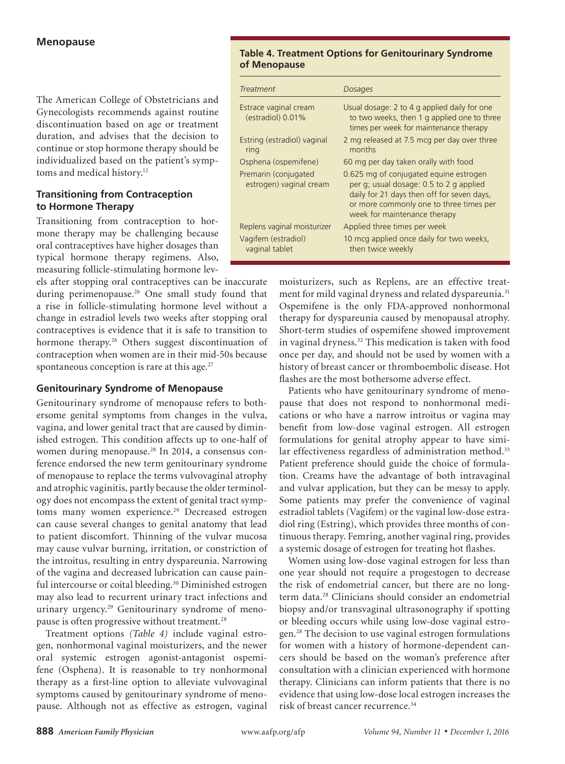The American College of Obstetricians and Gynecologists recommends against routine discontinuation based on age or treatment duration, and advises that the decision to continue or stop hormone therapy should be individualized based on the patient's symptoms and medical history.<sup>12</sup>

# **Transitioning from Contraception to Hormone Therapy**

Transitioning from contraception to hormone therapy may be challenging because oral contraceptives have higher dosages than typical hormone therapy regimens. Also, measuring follicle-stimulating hormone lev-

els after stopping oral contraceptives can be inaccurate during perimenopause.<sup>26</sup> One small study found that a rise in follicle-stimulating hormone level without a change in estradiol levels two weeks after stopping oral contraceptives is evidence that it is safe to transition to hormone therapy.<sup>26</sup> Others suggest discontinuation of contraception when women are in their mid-50s because spontaneous conception is rare at this age. $27$ 

# **Genitourinary Syndrome of Menopause**

Genitourinary syndrome of menopause refers to bothersome genital symptoms from changes in the vulva, vagina, and lower genital tract that are caused by diminished estrogen. This condition affects up to one-half of women during menopause.<sup>28</sup> In 2014, a consensus conference endorsed the new term genitourinary syndrome of menopause to replace the terms vulvovaginal atrophy and atrophic vaginitis*,* partly because the older terminology does not encompass the extent of genital tract symptoms many women experience.<sup>29</sup> Decreased estrogen can cause several changes to genital anatomy that lead to patient discomfort. Thinning of the vulvar mucosa may cause vulvar burning, irritation, or constriction of the introitus, resulting in entry dyspareunia. Narrowing of the vagina and decreased lubrication can cause painful intercourse or coital bleeding.30 Diminished estrogen may also lead to recurrent urinary tract infections and urinary urgency.<sup>29</sup> Genitourinary syndrome of menopause is often progressive without treatment.<sup>28</sup>

Treatment options *(Table 4)* include vaginal estrogen, nonhormonal vaginal moisturizers, and the newer oral systemic estrogen agonist-antagonist ospemifene (Osphena). It is reasonable to try nonhormonal therapy as a first-line option to alleviate vulvovaginal symptoms caused by genitourinary syndrome of menopause. Although not as effective as estrogen, vaginal

# **Table 4. Treatment Options for Genitourinary Syndrome of Menopause**

| <b>Treatment</b>                                | Dosages                                                                                                                                                                                                    |
|-------------------------------------------------|------------------------------------------------------------------------------------------------------------------------------------------------------------------------------------------------------------|
| Estrace vaginal cream<br>(estradiol) 0.01%      | Usual dosage: 2 to 4 g applied daily for one<br>to two weeks, then 1 g applied one to three<br>times per week for maintenance therapy                                                                      |
| Estring (estradiol) vaginal<br>ring             | 2 mg released at 7.5 mcg per day over three<br>months                                                                                                                                                      |
| Osphena (ospemifene)                            | 60 mg per day taken orally with food                                                                                                                                                                       |
| Premarin (conjugated<br>estrogen) vaginal cream | 0.625 mg of conjugated equine estrogen<br>per g; usual dosage: 0.5 to 2 g applied<br>daily for 21 days then off for seven days,<br>or more commonly one to three times per<br>week for maintenance therapy |
| Replens vaginal moisturizer                     | Applied three times per week                                                                                                                                                                               |
| Vagifem (estradiol)<br>vaginal tablet           | 10 mcg applied once daily for two weeks,<br>then twice weekly                                                                                                                                              |

moisturizers, such as Replens, are an effective treatment for mild vaginal dryness and related dyspareunia.<sup>31</sup> Ospemifene is the only FDA-approved nonhormonal therapy for dyspareunia caused by menopausal atrophy. Short-term studies of ospemifene showed improvement in vaginal dryness.<sup>32</sup> This medication is taken with food once per day, and should not be used by women with a history of breast cancer or thromboembolic disease. Hot flashes are the most bothersome adverse effect.

Patients who have genitourinary syndrome of menopause that does not respond to nonhormonal medications or who have a narrow introitus or vagina may benefit from low-dose vaginal estrogen. All estrogen formulations for genital atrophy appear to have similar effectiveness regardless of administration method.<sup>33</sup> Patient preference should guide the choice of formulation. Creams have the advantage of both intravaginal and vulvar application, but they can be messy to apply. Some patients may prefer the convenience of vaginal estradiol tablets (Vagifem) or the vaginal low-dose estradiol ring (Estring), which provides three months of continuous therapy. Femring, another vaginal ring, provides a systemic dosage of estrogen for treating hot flashes.

Women using low-dose vaginal estrogen for less than one year should not require a progestogen to decrease the risk of endometrial cancer, but there are no longterm data.28 Clinicians should consider an endometrial biopsy and/or transvaginal ultrasonography if spotting or bleeding occurs while using low-dose vaginal estrogen.28 The decision to use vaginal estrogen formulations for women with a history of hormone-dependent cancers should be based on the woman's preference after consultation with a clinician experienced with hormone therapy. Clinicians can inform patients that there is no evidence that using low-dose local estrogen increases the risk of breast cancer recurrence.34